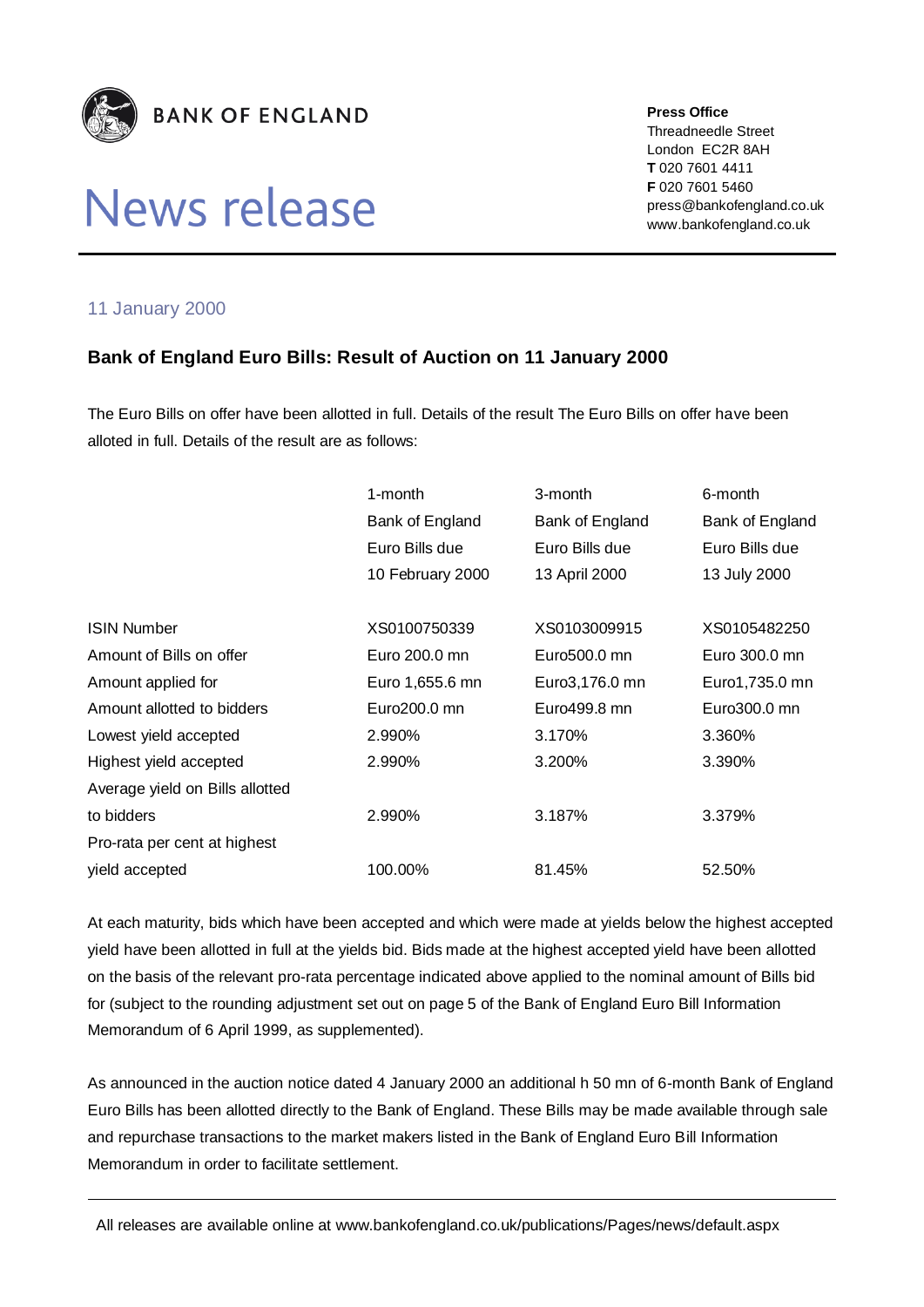

## News release

**Press Office** Threadneedle Street London EC2R 8AH **T** 020 7601 4411 **F** 020 7601 5460 press@bankofengland.co.uk www.bankofengland.co.uk

## 11 January 2000

## **Bank of England Euro Bills: Result of Auction on 11 January 2000**

The Euro Bills on offer have been allotted in full. Details of the result The Euro Bills on offer have been alloted in full. Details of the result are as follows:

|                                 | 1-month          | 3-month         | 6-month         |
|---------------------------------|------------------|-----------------|-----------------|
|                                 | Bank of England  | Bank of England | Bank of England |
|                                 | Euro Bills due   | Euro Bills due  | Euro Bills due  |
|                                 | 10 February 2000 | 13 April 2000   | 13 July 2000    |
|                                 |                  |                 |                 |
| <b>ISIN Number</b>              | XS0100750339     | XS0103009915    | XS0105482250    |
| Amount of Bills on offer        | Euro 200.0 mn    | Euro500.0 mn    | Euro 300.0 mn   |
| Amount applied for              | Euro 1,655.6 mn  | Euro3,176.0 mn  | Euro1,735.0 mn  |
| Amount allotted to bidders      | Euro200.0 mn     | Euro499.8 mn    | Euro300.0 mn    |
| Lowest yield accepted           | 2.990%           | 3.170%          | 3.360%          |
| Highest yield accepted          | 2.990%           | 3.200%          | 3.390%          |
| Average yield on Bills allotted |                  |                 |                 |
| to bidders                      | 2.990%           | 3.187%          | 3.379%          |
| Pro-rata per cent at highest    |                  |                 |                 |
| yield accepted                  | 100.00%          | 81.45%          | 52.50%          |

At each maturity, bids which have been accepted and which were made at yields below the highest accepted yield have been allotted in full at the yields bid. Bids made at the highest accepted yield have been allotted on the basis of the relevant pro-rata percentage indicated above applied to the nominal amount of Bills bid for (subject to the rounding adjustment set out on page 5 of the Bank of England Euro Bill Information Memorandum of 6 April 1999, as supplemented).

As announced in the auction notice dated 4 January 2000 an additional h 50 mn of 6-month Bank of England Euro Bills has been allotted directly to the Bank of England. These Bills may be made available through sale and repurchase transactions to the market makers listed in the Bank of England Euro Bill Information Memorandum in order to facilitate settlement.

All releases are available online at www.bankofengland.co.uk/publications/Pages/news/default.aspx